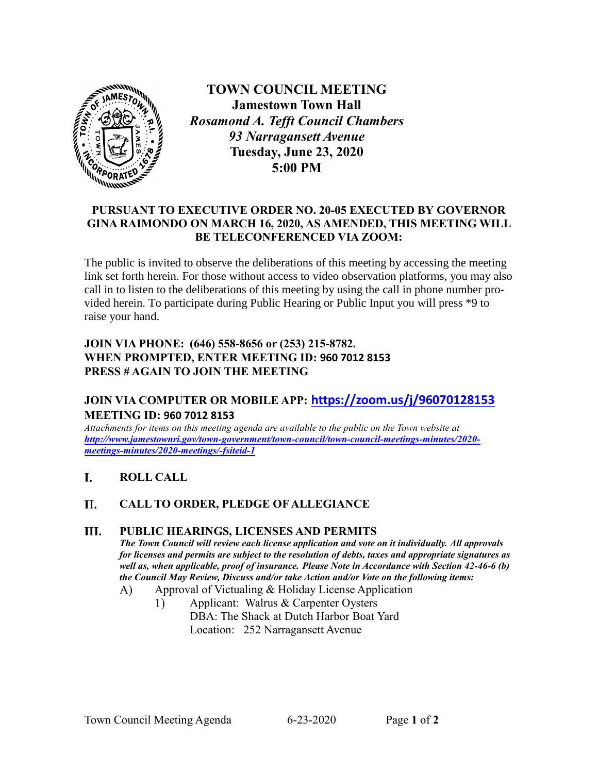

**TOWN COUNCIL MEETING Jamestown Town Hall** *Rosamond A. Tefft Council Chambers 93 Narragansett Avenue* **Tuesday, June 23, 2020 5:00 PM**

### **PURSUANT TO EXECUTIVE ORDER NO. 20-05 EXECUTED BY GOVERNOR GINA RAIMONDO ON MARCH 16, 2020, AS AMENDED, THIS MEETING WILL BE TELECONFERENCED VIA ZOOM:**

The public is invited to observe the deliberations of this meeting by accessing the meeting link set forth herein. For those without access to video observation platforms, you may also call in to listen to the deliberations of this meeting by using the call in phone number provided herein. To participate during Public Hearing or Public Input you will press \*9 to raise your hand.

## **JOIN VIA PHONE: (646) 558-8656 or (253) 215-8782. WHEN PROMPTED, ENTER MEETING ID: 960 7012 8153 PRESS # AGAIN TO JOIN THE MEETING**

# **JOIN VIA COMPUTER OR MOBILE APP: <https://zoom.us/j/96070128153> MEETING ID: 960 7012 8153**

*Attachments for items on this meeting agenda are available to the public on the Town website at http://www.jamestownri.gov/town-government/town-council/town-council-meetings-minutes/2020 meetings-minutes/2020-meetings/-fsiteid-1*

#### L **ROLL CALL**

#### $II.$ **CALL TO ORDER, PLEDGE OF ALLEGIANCE**

#### III. **PUBLIC HEARINGS, LICENSES AND PERMITS**

*The Town Council will review each license application and vote on it individually. All approvals for licenses and permits are subject to the resolution of debts, taxes and appropriate signatures as well as, when applicable, proof of insurance. Please Note in Accordance with Section 42-46-6 (b) the Council May Review, Discuss and/or take Action and/or Vote on the following items:* 

- $\bf{A}$ Approval of Victualing & Holiday License Application
	- Applicant: Walrus & Carpenter Oysters  $\mathbf{1}$  DBA: The Shack at Dutch Harbor Boat Yard Location: 252 Narragansett Avenue